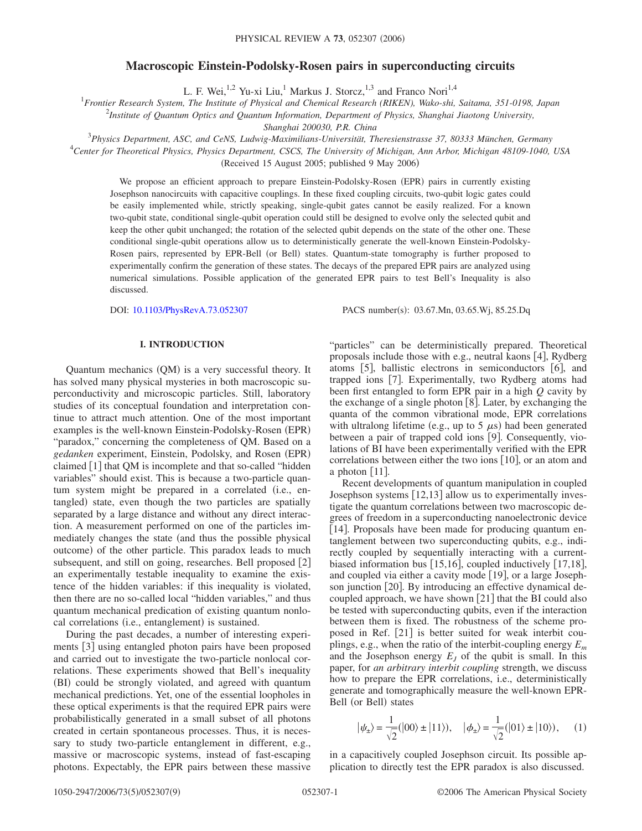# **Macroscopic Einstein-Podolsky-Rosen pairs in superconducting circuits**

L. F. Wei,<sup>1,2</sup> Yu-xi Liu,<sup>1</sup> Markus J. Storcz,<sup>1,3</sup> and Franco Nori<sup>1,4</sup>

1 *Frontier Research System, The Institute of Physical and Chemical Research (RIKEN), Wako-shi, Saitama, 351-0198, Japan*

2 *Institute of Quantum Optics and Quantum Information, Department of Physics, Shanghai Jiaotong University,*

*Shanghai 200030, P.R. China*

3 *Physics Department, ASC, and CeNS, Ludwig-Maximilians-Universität, Theresienstrasse 37, 80333 München, Germany*

4 *Center for Theoretical Physics, Physics Department, CSCS, The University of Michigan, Ann Arbor, Michigan 48109-1040, USA* (Received 15 August 2005; published 9 May 2006)

We propose an efficient approach to prepare Einstein-Podolsky-Rosen (EPR) pairs in currently existing Josephson nanocircuits with capacitive couplings. In these fixed coupling circuits, two-qubit logic gates could be easily implemented while, strictly speaking, single-qubit gates cannot be easily realized. For a known two-qubit state, conditional single-qubit operation could still be designed to evolve only the selected qubit and keep the other qubit unchanged; the rotation of the selected qubit depends on the state of the other one. These conditional single-qubit operations allow us to deterministically generate the well-known Einstein-Podolsky-Rosen pairs, represented by EPR-Bell (or Bell) states. Quantum-state tomography is further proposed to experimentally confirm the generation of these states. The decays of the prepared EPR pairs are analyzed using numerical simulations. Possible application of the generated EPR pairs to test Bell's Inequality is also discussed.

DOI: [10.1103/PhysRevA.73.052307](http://dx.doi.org/10.1103/PhysRevA.73.052307)

PACS number(s): 03.67.Mn, 03.65.Wj, 85.25.Dq

# **I. INTRODUCTION**

Quantum mechanics (QM) is a very successful theory. It has solved many physical mysteries in both macroscopic superconductivity and microscopic particles. Still, laboratory studies of its conceptual foundation and interpretation continue to attract much attention. One of the most important examples is the well-known Einstein-Podolsky-Rosen (EPR) "paradox," concerning the completeness of QM. Based on a gedanken experiment, Einstein, Podolsky, and Rosen (EPR) claimed  $\lceil 1 \rceil$  that QM is incomplete and that so-called "hidden variables" should exist. This is because a two-particle quantum system might be prepared in a correlated (i.e., entangled) state, even though the two particles are spatially separated by a large distance and without any direct interaction. A measurement performed on one of the particles immediately changes the state (and thus the possible physical outcome) of the other particle. This paradox leads to much subsequent, and still on going, researches. Bell proposed [2] an experimentally testable inequality to examine the existence of the hidden variables: if this inequality is violated, then there are no so-called local "hidden variables," and thus quantum mechanical predication of existing quantum nonlocal correlations (i.e., entanglement) is sustained.

During the past decades, a number of interesting experiments [3] using entangled photon pairs have been proposed and carried out to investigate the two-particle nonlocal correlations. These experiments showed that Bell's inequality (BI) could be strongly violated, and agreed with quantum mechanical predictions. Yet, one of the essential loopholes in these optical experiments is that the required EPR pairs were probabilistically generated in a small subset of all photons created in certain spontaneous processes. Thus, it is necessary to study two-particle entanglement in different, e.g., massive or macroscopic systems, instead of fast-escaping photons. Expectably, the EPR pairs between these massive "particles" can be deterministically prepared. Theoretical proposals include those with e.g., neutral kaons  $[4]$ , Rydberg atoms  $[5]$ , ballistic electrons in semiconductors  $[6]$ , and trapped ions [7]. Experimentally, two Rydberg atoms had been first entangled to form EPR pair in a high *Q* cavity by the exchange of a single photon  $[8]$ . Later, by exchanging the quanta of the common vibrational mode, EPR correlations with ultralong lifetime (e.g., up to 5  $\mu$ s) had been generated between a pair of trapped cold ions [9]. Consequently, violations of BI have been experimentally verified with the EPR correlations between either the two ions  $[10]$ , or an atom and a photon  $[11]$ .

Recent developments of quantum manipulation in coupled Josephson systems  $[12,13]$  allow us to experimentally investigate the quantum correlations between two macroscopic degrees of freedom in a superconducting nanoelectronic device [14]. Proposals have been made for producing quantum entanglement between two superconducting qubits, e.g., indirectly coupled by sequentially interacting with a currentbiased information bus  $[15,16]$ , coupled inductively  $[17,18]$ , and coupled via either a cavity mode  $[19]$ , or a large Josephson junction [20]. By introducing an effective dynamical decoupled approach, we have shown  $[21]$  that the BI could also be tested with superconducting qubits, even if the interaction between them is fixed. The robustness of the scheme proposed in Ref. [21] is better suited for weak interbit couplings, e.g., when the ratio of the interbit-coupling energy *Em* and the Josephson energy  $E_I$  of the qubit is small. In this paper, for *an arbitrary interbit coupling* strength, we discuss how to prepare the EPR correlations, i.e., deterministically generate and tomographically measure the well-known EPR-Bell (or Bell) states

$$
|\psi_{\pm}\rangle = \frac{1}{\sqrt{2}}(|00\rangle \pm |11\rangle), \quad |\phi_{\pm}\rangle = \frac{1}{\sqrt{2}}(|01\rangle \pm |10\rangle), \quad (1)
$$

in a capacitively coupled Josephson circuit. Its possible application to directly test the EPR paradox is also discussed.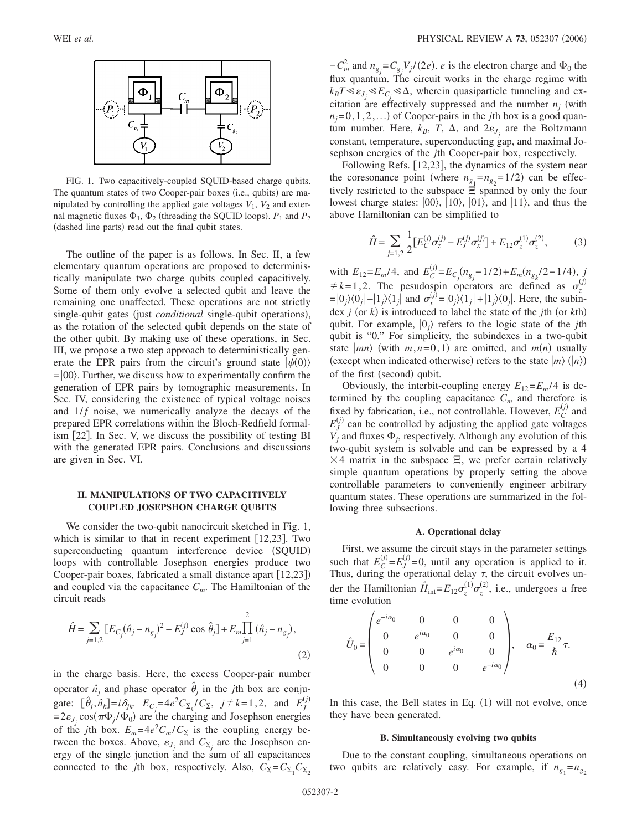

FIG. 1. Two capacitively-coupled SQUID-based charge qubits. The quantum states of two Cooper-pair boxes (i.e., qubits) are manipulated by controlling the applied gate voltages  $V_1$ ,  $V_2$  and external magnetic fluxes  $\Phi_1$ ,  $\Phi_2$  (threading the SQUID loops).  $P_1$  and  $P_2$ (dashed line parts) read out the final qubit states.

The outline of the paper is as follows. In Sec. II, a few elementary quantum operations are proposed to deterministically manipulate two charge qubits coupled capacitively. Some of them only evolve a selected qubit and leave the remaining one unaffected. These operations are not strictly single-qubit gates (just *conditional* single-qubit operations), as the rotation of the selected qubit depends on the state of the other qubit. By making use of these operations, in Sec. III, we propose a two step approach to deterministically generate the EPR pairs from the circuit's ground state  $|\psi(0)\rangle$  $=|00\rangle$ . Further, we discuss how to experimentally confirm the generation of EPR pairs by tomographic measurements. In Sec. IV, considering the existence of typical voltage noises and  $1/f$  noise, we numerically analyze the decays of the prepared EPR correlations within the Bloch-Redfield formalism [22]. In Sec. V, we discuss the possibility of testing BI with the generated EPR pairs. Conclusions and discussions are given in Sec. VI.

## **II. MANIPULATIONS OF TWO CAPACITIVELY COUPLED JOSEPSHON CHARGE QUBITS**

We consider the two-qubit nanocircuit sketched in Fig. 1, which is similar to that in recent experiment  $[12,23]$ . Two superconducting quantum interference device (SQUID) loops with controllable Josephson energies produce two Cooper-pair boxes, fabricated a small distance apart [12,23]) and coupled via the capacitance  $C_m$ . The Hamiltonian of the circuit reads

$$
\hat{H} = \sum_{j=1,2} \left[ E_{C_j} (\hat{n}_j - n_{g_j})^2 - E_j^{(j)} \cos \hat{\theta}_j \right] + E_m \prod_{j=1}^2 (\hat{n}_j - n_{g_j}),
$$
\n(2)

in the charge basis. Here, the excess Cooper-pair number operator  $\hat{n}_j$  and phase operator  $\hat{\theta}_j$  in the *j*th box are conjugate:  $[\hat{\theta}_j, \hat{n}_k] = i \delta_{jk}$ .  $E_{C_j} = 4e^2 C_{\Sigma_k}/C_{\Sigma}$ ,  $j \neq k = 1, 2$ , and  $E_j^{(j)}$  $= 2\varepsilon_{J_j} \cos(\pi \Phi_j / \Phi_0)$  are the charging and Josephson energies of the *j*th box.  $E_m = 4e^2 C_m / C_{\Sigma}$  is the coupling energy between the boxes. Above,  $\varepsilon_{J_j}$  and  $C_{\Sigma_j}$  are the Josephson energy of the single junction and the sum of all capacitances connected to the *j*th box, respectively. Also,  $C_{\Sigma} = C_{\Sigma_1} C_{\Sigma_2}$ 

 $-C_m^2$  and  $n_{g_j} = C_{g_j} V_j / (2e)$ . *e* is the electron charge and  $\Phi_0$  the flux quantum. The circuit works in the charge regime with  $k_B T \ll \varepsilon_{J_j} \ll E_{C_j} \ll \Delta$ , wherein quasiparticle tunneling and excitation are effectively suppressed and the number  $n_i$  (with  $n_j = 0, 1, 2, \ldots$  of Cooper-pairs in the *j*th box is a good quantum number. Here,  $k_B$ , T,  $\Delta$ , and  $2\varepsilon_{J_j}$  are the Boltzmann constant, temperature, superconducting gap, and maximal Josephson energies of the *j*th Cooper-pair box, respectively.

Following Refs. [12,23], the dynamics of the system near the coresonance point (where  $n_{g_1} = n_{g_2} = 1/2$ ) can be effectively restricted to the subspace  $\Xi$  spanned by only the four lowest charge states:  $|00\rangle$ ,  $|10\rangle$ ,  $|01\rangle$ , and  $|11\rangle$ , and thus the above Hamiltonian can be simplified to

$$
\hat{H} = \sum_{j=1,2} \frac{1}{2} \left[ E_C^{(j)} \sigma_z^{(j)} - E_J^{(j)} \sigma_x^{(j)} \right] + E_{12} \sigma_z^{(1)} \sigma_z^{(2)},\tag{3}
$$

with  $E_{12} = E_m/4$ , and  $E_C^{(j)} = E_{C_j}(n_{g_j} - 1/2) + E_m(n_{g_k}/2 - 1/4)$ , *j*  $\neq k=1, 2$ . The pesudospin operators are defined as  $\sigma_z^{(j)}$  $= |0_j\rangle\langle0_j| - |1_j\rangle\langle1_j|$  and  $\sigma_x^{(j)} = |0_j\rangle\langle1_j| + |1_j\rangle\langle0_j|$ . Here, the subindex  $j$  (or  $k$ ) is introduced to label the state of the  $j$ th (or  $k$ th) qubit. For example,  $|0_i\rangle$  refers to the logic state of the *j*th qubit is "0." For simplicity, the subindexes in a two-qubit state  $\ket{mn}$  (with  $m, n=0,1$ ) are omitted, and  $m(n)$  usually (except when indicated otherwise) refers to the state  $|m\rangle$  ( $|n\rangle$ ) of the first (second) qubit.

Obviously, the interbit-coupling energy  $E_{12} = E_m/4$  is determined by the coupling capacitance  $\tilde{C}_m$  and therefore is fixed by fabrication, i.e., not controllable. However,  $E_C^{(j)}$  and  $E_J^{(j)}$  can be controlled by adjusting the applied gate voltages  $V_i$  and fluxes  $\Phi_i$ , respectively. Although any evolution of this two-qubit system is solvable and can be expressed by a 4  $\times$  4 matrix in the subspace  $\Xi$ , we prefer certain relatively simple quantum operations by properly setting the above controllable parameters to conveniently engineer arbitrary quantum states. These operations are summarized in the following three subsections.

### **A. Operational delay**

First, we assume the circuit stays in the parameter settings such that  $E_C^{(j)} = E_J^{(j)} = 0$ , until any operation is applied to it. Thus, during the operational delay  $\tau$ , the circuit evolves under the Hamiltonian  $\hat{H}_{int} = E_{12} \sigma_z^{(1)} \sigma_z^{(2)}$ , i.e., undergoes a free time evolution

$$
\hat{U}_0 = \begin{pmatrix} e^{-i\alpha_0} & 0 & 0 & 0 \\ 0 & e^{i\alpha_0} & 0 & 0 \\ 0 & 0 & e^{i\alpha_0} & 0 \\ 0 & 0 & 0 & e^{-i\alpha_0} \end{pmatrix}, \quad \alpha_0 = \frac{E_{12}}{\hbar} \tau.
$$
\n(4)

In this case, the Bell states in Eq. (1) will not evolve, once they have been generated.

#### **B. Simultaneously evolving two qubits**

Due to the constant coupling, simultaneous operations on two qubits are relatively easy. For example, if  $n_{g_1} = n_{g_2}$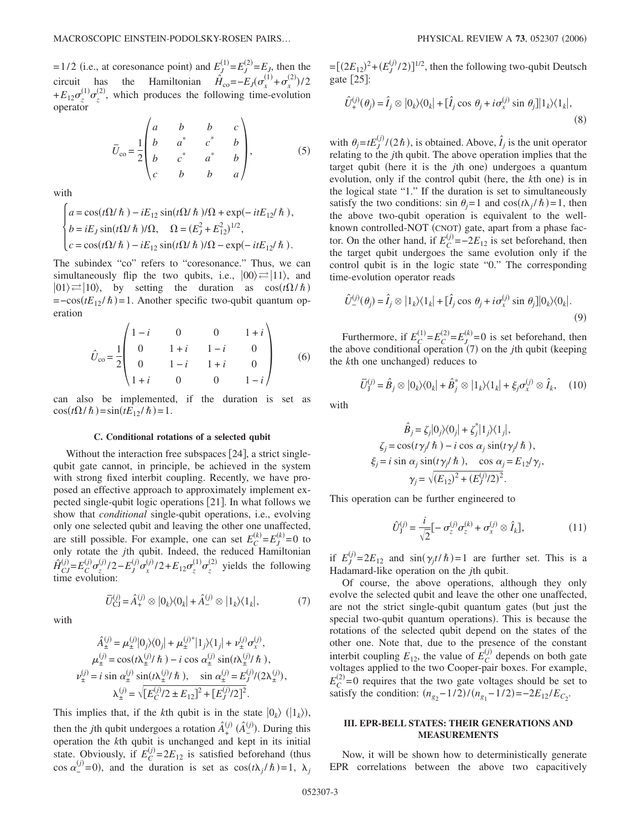$=1/2$  (i.e., at coresonance point) and  $E_J^{(1)} = E_J^{(2)} = E_J$ , then the circuit has the Hamiltonian  $\hat{H}_{co} = -E_J(\sigma_x^{(1)} + \sigma_x^{(2)})/2$  $+E_{12}\sigma_z^{(1)}\sigma_z^{(2)}$ , which produces the following time-evolution operator

$$
\bar{U}_{\rm co} = \frac{1}{2} \begin{pmatrix} a & b & b & c \\ b & a^* & c^* & b \\ b & c^* & a^* & b \\ c & b & b & a \end{pmatrix}, \tag{5}
$$

with

$$
\begin{cases}\na = \cos(t\Omega/\hbar) - iE_{12}\sin(t\Omega/\hbar)/\Omega + \exp(-itE_{12}/\hbar), \\
b = iE_J\sin(t\Omega/\hbar)/\Omega, \quad \Omega = (E_J^2 + E_{12}^2)^{1/2}, \\
c = \cos(t\Omega/\hbar) - iE_{12}\sin(t\Omega/\hbar)/\Omega - \exp(-itE_{12}/\hbar).\n\end{cases}
$$

The subindex "co" refers to "coresonance." Thus, we can simultaneously flip the two qubits, i.e.,  $|00\rangle \rightleftarrows |11\rangle$ , and  $|01\rangle \rightleftarrows |10\rangle$ , by setting the duration as  $\cos(t\Omega/\hbar)$  $= -\cos(tE_{12}/\hbar) = 1$ . Another specific two-qubit quantum operation

$$
\hat{U}_{\text{co}} = \frac{1}{2} \begin{pmatrix} 1 - i & 0 & 0 & 1 + i \\ 0 & 1 + i & 1 - i & 0 \\ 0 & 1 - i & 1 + i & 0 \\ 1 + i & 0 & 0 & 1 - i \end{pmatrix}
$$
 (6)

can also be implemented, if the duration is set as  $\cos(t\Omega/\hbar) = \sin(tE_{12}/\hbar) = 1.$ 

## **C. Conditional rotations of a selected qubit**

Without the interaction free subspaces  $[24]$ , a strict singlequbit gate cannot, in principle, be achieved in the system with strong fixed interbit coupling. Recently, we have proposed an effective approach to approximately implement expected single-qubit logic operations [21]. In what follows we show that *conditional* single-qubit operations, i.e., evolving only one selected qubit and leaving the other one unaffected, are still possible. For example, one can set  $E_C^{(k)} = E_J^{(k)} = 0$  to only rotate the *j*th qubit. Indeed, the reduced Hamiltonian  $\hat{H}_{CJ}^{(j)}$  $\frac{f^{(j)}}{f^{(j)}} = E_C^{(j)} \sigma_z^{(j)} / 2 - E_J^{(j)} \sigma_x^{(j)} / 2 + E_{12} \sigma_z^{(1)} \sigma_z^{(2)}$  yields the following time evolution:

with

$$
\overline{U}_{\text{CJ}}^{(j)} = \hat{A}_{+}^{(j)} \otimes |0_{k}\rangle\langle0_{k}| + \hat{A}_{-}^{(j)} \otimes |1_{k}\rangle\langle1_{k}|,\tag{7}
$$

$$
\hat{A}_{\pm}^{(j)} = \mu_{\pm}^{(j)}|0_j\rangle\langle0_j| + \mu_{\pm}^{(j)*}|1_j\rangle\langle1_j| + \nu_{\pm}^{(j)}\sigma_x^{(j)},
$$
  
\n
$$
\mu_{\pm}^{(j)} = \cos(t\lambda_{\pm}^{(j)}/\hbar) - i \cos \alpha_{\pm}^{(j)} \sin(t\lambda_{\pm}^{(j)}/\hbar),
$$
  
\n
$$
\nu_{\pm}^{(j)} = i \sin \alpha_{\pm}^{(j)} \sin(t\lambda_{\pm}^{(j)}/\hbar), \quad \sin \alpha_{\pm}^{(j)} = E_J^{(j)}/(2\lambda_{\pm}^{(j)}),
$$
  
\n
$$
\lambda_{\pm}^{(j)} = \sqrt{[E_C^{(j)}/2 \pm E_{12}]^2 + [E_J^{(j)}/2]^2}.
$$

This implies that, if the *k*th qubit is in the state  $|0_k\rangle$  ( $|1_k\rangle$ ), then the *j*th qubit undergoes a rotation  $\hat{A}^{\mathfrak{c}}_{+}$ *j*- *A ˆ* −  $j^{(j)}$ . During this operation the *k*th qubit is unchanged and kept in its initial state. Obviously, if  $E_C^{(j)} = 2E_{12}$  is satisfied beforehand (thus cos  $\alpha_{-}^{(j)}=0$ , and the duration is set as  $\cos(t\lambda_j/\hbar)=1$ ,  $\lambda_j$ 

 $=[(2E_{12})^2+(E_J^{(j)}/2)]^{1/2}$ , then the following two-qubit Deutsch gate  $\lceil 25 \rceil$ :

$$
\hat{U}_{+}^{(j)}(\theta_{j}) = \hat{I}_{j} \otimes |0_{k}\rangle\langle0_{k}| + [\hat{I}_{j} \cos \theta_{j} + i\sigma_{x}^{(j)} \sin \theta_{j}]|1_{k}\rangle\langle1_{k}|,
$$
\n(8)

with  $\theta_j = tE_j^{(j)}/(2\hbar)$ , is obtained. Above,  $\hat{I}_j$  is the unit operator relating to the *j*th qubit. The above operation implies that the target qubit (here it is the *j*th one) undergoes a quantum evolution, only if the control qubit (here, the *k*th one) is in the logical state "1." If the duration is set to simultaneously satisfy the two conditions:  $\sin \theta_j = 1$  and  $\cos(t\lambda_j/\hbar) = 1$ , then the above two-qubit operation is equivalent to the wellknown controlled-NOT (CNOT) gate, apart from a phase factor. On the other hand, if  $E_C^{(j)} = -2E_{12}$  is set beforehand, then the target qubit undergoes the same evolution only if the control qubit is in the logic state "0." The corresponding time-evolution operator reads

$$
\hat{U}_{-}^{(j)}(\theta_{j}) = \hat{I}_{j} \otimes |1_{k}\rangle\langle1_{k}| + [\hat{I}_{j} \cos \theta_{j} + i\sigma_{x}^{(j)} \sin \theta_{j}]|0_{k}\rangle\langle0_{k}|.
$$
\n(9)

Furthermore, if  $E_C^{(1)} = E_C^{(2)} = E_L^{(k)} = 0$  is set beforehand, then the above conditional operation (7) on the *j*th qubit (keeping the *k*th one unchanged) reduces to

$$
\overline{U}_{\mathrm{J}}^{(j)} = \hat{B}_j \otimes |0_k\rangle\langle0_k| + \hat{B}_j^* \otimes |1_k\rangle\langle1_k| + \xi_j \sigma_x^{(j)} \otimes \hat{I}_k, \quad (10)
$$

with

$$
\hat{B}_j = \zeta_j |0_j\rangle\langle 0_j| + \zeta_j^* |1_j\rangle\langle 1_j|,
$$
  
\n
$$
\zeta_j = \cos(t\gamma_j/\hbar) - i \cos \alpha_j \sin(t\gamma_j/\hbar),
$$
  
\n
$$
\xi_j = i \sin \alpha_j \sin(t\gamma_j/\hbar), \quad \cos \alpha_j = E_{12}/\gamma_j,
$$
  
\n
$$
\gamma_j = \sqrt{(E_{12})^2 + (E_j^{(j)}/2)^2}.
$$

This operation can be further engineered to

$$
\hat{U}_{\mathrm{J}}^{(j)} = \frac{i}{\sqrt{2}} \left[ -\sigma_z^{(j)} \sigma_z^{(k)} + \sigma_x^{(j)} \otimes \hat{I}_k \right],\tag{11}
$$

if  $E_j^{(j)} = 2E_{12}$  and  $\sin(\gamma_j t/\hbar) = 1$  are further set. This is a Hadamard-like operation on the *j*th qubit.

Of course, the above operations, although they only evolve the selected qubit and leave the other one unaffected, are not the strict single-qubit quantum gates (but just the special two-qubit quantum operations). This is because the rotations of the selected qubit depend on the states of the other one. Note that, due to the presence of the constant interbit coupling  $E_{12}$ , the value of  $E_C^{(j)}$  depends on both gate voltages applied to the two Cooper-pair boxes. For example,  $E_C^{(2)}$ =0 requires that the two gate voltages should be set to satisfy the condition:  $(n_{g_2} - 1/2)/(n_{g_1} - 1/2) = -2E_{12}/E_{C_2}$ .

## **III. EPR-BELL STATES: THEIR GENERATIONS AND MEASUREMENTS**

Now, it will be shown how to deterministically generate EPR correlations between the above two capacitively

 $(7)$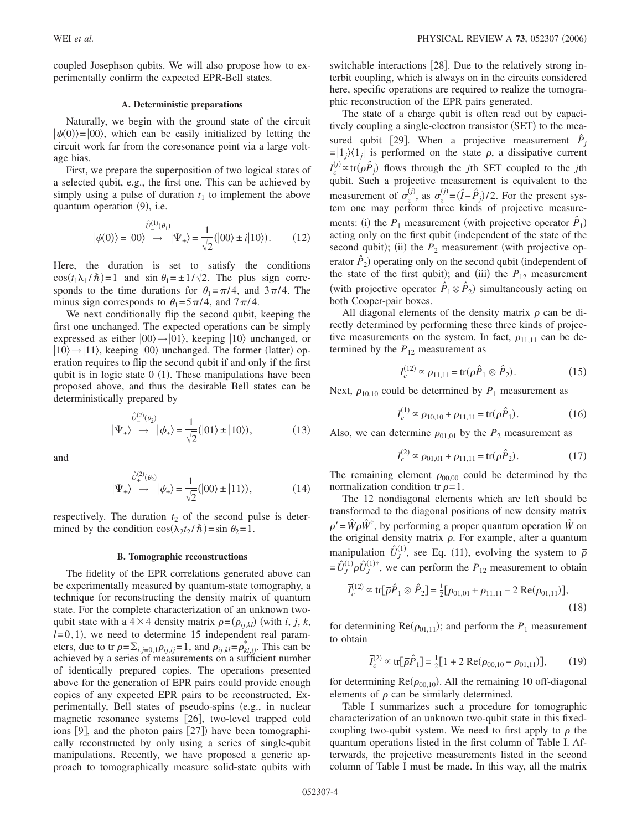coupled Josephson qubits. We will also propose how to experimentally confirm the expected EPR-Bell states.

### **A. Deterministic preparations**

Naturally, we begin with the ground state of the circuit  $|\psi(0)\rangle = |00\rangle$ , which can be easily initialized by letting the circuit work far from the coresonance point via a large voltage bias.

First, we prepare the superposition of two logical states of a selected qubit, e.g., the first one. This can be achieved by simply using a pulse of duration  $t_1$  to implement the above quantum operation (9), i.e.

$$
|\psi(0)\rangle = |00\rangle \stackrel{\hat{U}_{-}^{(1)}(\theta_1)}{\longrightarrow} |\Psi_{\pm}\rangle = \frac{1}{\sqrt{2}}(|00\rangle \pm i|10\rangle). \tag{12}
$$

Here, the duration is set to satisfy the conditions  $\cos(t_1 \lambda_1 / \hbar) = 1$  and  $\sin \theta_1 = \pm 1/\sqrt{2}$ . The plus sign corresponds to the time durations for  $\theta_1 = \pi/4$ , and  $3\pi/4$ . The minus sign corresponds to  $\theta_1 = 5\pi/4$ , and  $7\pi/4$ .

We next conditionally flip the second qubit, keeping the first one unchanged. The expected operations can be simply expressed as either  $|00\rangle \rightarrow |01\rangle$ , keeping  $|10\rangle$  unchanged, or  $|10\rangle \rightarrow |11\rangle$ , keeping  $|00\rangle$  unchanged. The former (latter) operation requires to flip the second qubit if and only if the first qubit is in logic state  $0$  (1). These manipulations have been proposed above, and thus the desirable Bell states can be deterministically prepared by

$$
|\Psi_{\pm}\rangle \stackrel{\hat{U}^{(2)}(\theta_2)}{\rightarrow} |\phi_{\pm}\rangle = \frac{1}{\sqrt{2}} (|01\rangle \pm |10\rangle), \tag{13}
$$

and

$$
|\Psi_{\pm}\rangle \stackrel{\hat{U}_{+}^{(2)}(\theta_{2})}{\longrightarrow} |\psi_{\pm}\rangle = \frac{1}{\sqrt{2}}(|00\rangle \pm |11\rangle), \tag{14}
$$

respectively. The duration  $t_2$  of the second pulse is determined by the condition  $\cos(\lambda_2 t_2 / \hbar) = \sin \theta_2 = 1$ .

#### **B. Tomographic reconstructions**

The fidelity of the EPR correlations generated above can be experimentally measured by quantum-state tomography, a technique for reconstructing the density matrix of quantum state. For the complete characterization of an unknown twoqubit state with a  $4 \times 4$  density matrix  $\rho = (\rho_{ij,kl})$  (with *i*, *j*, *k*,  $l=0,1$ ), we need to determine 15 independent real parameters, due to tr  $\rho = \sum_{i,j=0,1} \rho_{ij,ij} = 1$ , and  $\rho_{ij,kl} = \rho_{kl,ij}^*$ . This can be achieved by a series of measurements on a sufficient number of identically prepared copies. The operations presented above for the generation of EPR pairs could provide enough copies of any expected EPR pairs to be reconstructed. Experimentally, Bell states of pseudo-spins (e.g., in nuclear magnetic resonance systems [26], two-level trapped cold ions [9], and the photon pairs [27]) have been tomographically reconstructed by only using a series of single-qubit manipulations. Recently, we have proposed a generic approach to tomographically measure solid-state qubits with switchable interactions  $|28|$ . Due to the relatively strong interbit coupling, which is always on in the circuits considered here, specific operations are required to realize the tomographic reconstruction of the EPR pairs generated.

The state of a charge qubit is often read out by capacitively coupling a single-electron transistor (SET) to the measured qubit [29]. When a projective measurement  $\hat{P}_j$  $=$  $|1_j\rangle\langle1_j|$  is performed on the state  $\rho$ , a dissipative current  $I_c^{(j)} \propto \text{tr}(\rho \hat{P}_j)$  flows through the *j*th SET coupled to the *j*th qubit. Such a projective measurement is equivalent to the measurement of  $\sigma_z^{(j)}$ , as  $\sigma_z^{(j)} = (\hat{I} - \hat{P}_j)/2$ . For the present system one may perform three kinds of projective measurements: (i) the  $P_1$  measurement (with projective operator  $\hat{P}_1$ ) acting only on the first qubit (independent of the state of the second qubit); (ii) the  $P_2$  measurement (with projective operator  $\hat{P}_2$ ) operating only on the second qubit (independent of the state of the first qubit); and (iii) the  $P_{12}$  measurement (with projective operator  $\hat{P}_1 \otimes \hat{P}_2$ ) simultaneously acting on both Cooper-pair boxes.

All diagonal elements of the density matrix  $\rho$  can be directly determined by performing these three kinds of projective measurements on the system. In fact,  $\rho_{11,11}$  can be determined by the  $P_{12}$  measurement as

$$
I_c^{(12)} \propto \rho_{11,11} = \text{tr}(\rho \hat{P}_1 \otimes \hat{P}_2). \tag{15}
$$

Next,  $\rho_{10,10}$  could be determined by  $P_1$  measurement as

$$
I_c^{(1)} \propto \rho_{10,10} + \rho_{11,11} = \text{tr}(\rho \hat{P}_1). \tag{16}
$$

Also, we can determine  $\rho_{01,01}$  by the  $P_2$  measurement as

$$
I_c^{(2)} \propto \rho_{01,01} + \rho_{11,11} = \text{tr}(\rho \hat{P}_2). \tag{17}
$$

The remaining element  $\rho_{00,00}$  could be determined by the normalization condition tr  $\rho = 1$ .

The 12 nondiagonal elements which are left should be transformed to the diagonal positions of new density matrix  $\rho' = \hat{W}\rho \hat{W}^{\dagger}$ , by performing a proper quantum operation  $\hat{W}$  on the original density matrix  $\rho$ . For example, after a quantum manipulation  $\hat{U}_J^{\dagger}$  $\overline{I}_{I}^{(1)}$ , see Eq. (11), evolving the system to  $\overline{\rho}$  $=\hat{U}_J^{\left(}$  $\hat{U}_J^{(1)}\rho \hat{U}_J^{(0)}$  $L_1^{(1)\dagger}$ , we can perform the  $P_{12}$  measurement to obtain

$$
\overline{I}_c^{(12)} \propto \text{tr}[\overline{\rho}\hat{P}_1 \otimes \hat{P}_2] = \frac{1}{2} [\rho_{01,01} + \rho_{11,11} - 2 \text{ Re}(\rho_{01,11})],\tag{18}
$$

for determining  $Re(\rho_{01,11})$ ; and perform the  $P_1$  measurement to obtain

$$
\bar{I}_c^{(2)} \propto \text{tr}[\bar{\rho}\hat{P}_1] = \frac{1}{2} [1 + 2 \text{Re}(\rho_{00,10} - \rho_{01,11})],\tag{19}
$$

for determining  $\text{Re}(\rho_{00,10})$ . All the remaining 10 off-diagonal elements of  $\rho$  can be similarly determined.

Table I summarizes such a procedure for tomographic characterization of an unknown two-qubit state in this fixedcoupling two-qubit system. We need to first apply to  $\rho$  the quantum operations listed in the first column of Table I. Afterwards, the projective measurements listed in the second column of Table I must be made. In this way, all the matrix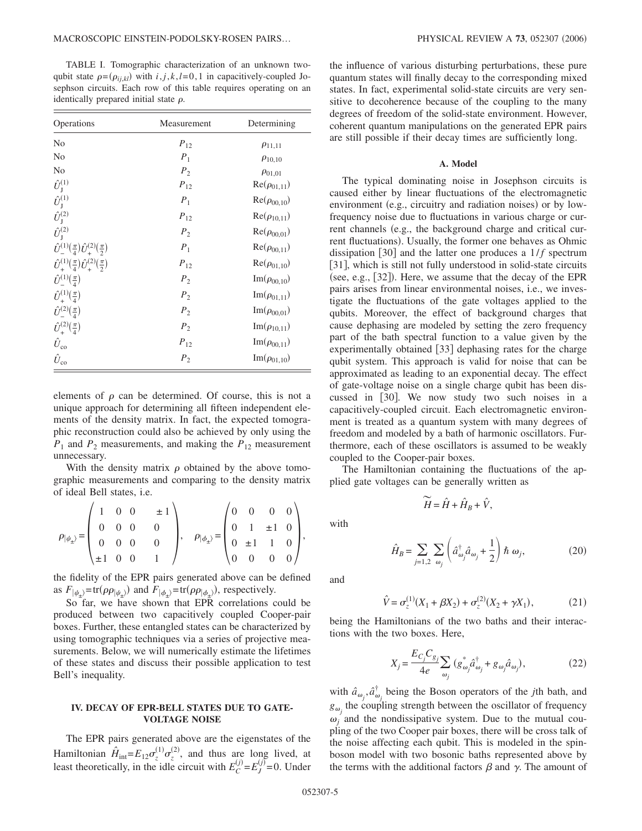TABLE I. Tomographic characterization of an unknown twoqubit state  $\rho = (\rho_{ij,kl})$  with  $i, j, k, l = 0, 1$  in capacitively-coupled Josephson circuits. Each row of this table requires operating on an identically prepared initial state  $\rho$ .

| Operations                                                  | Measurement    | Determining               |  |
|-------------------------------------------------------------|----------------|---------------------------|--|
| No                                                          | $P_{12}$       | $\rho_{11,11}$            |  |
| No                                                          | $P_1$          | $\rho_{10,10}$            |  |
| No                                                          | P <sub>2</sub> | $\rho_{01,01}$            |  |
| $\hat{U}_{\text{J}}^{(1)}$                                  | $P_{12}$       | $Re(\rho_{01,11})$        |  |
| $\hat{U}_{\rm J}^{(1)}$                                     | $P_1$          | $Re(\rho_{00,10})$        |  |
| $\hat{U}_{\mathrm{J}}^{(2)}$                                | $P_{12}$       | $Re(\rho_{10,11})$        |  |
| $\hat{U}_I^{(2)}$                                           | P <sub>2</sub> | $Re(\rho_{00,01})$        |  |
| $\hat{U}^{(1)}(\frac{\pi}{4}) \hat{U}^{(2)}(\frac{\pi}{2})$ | $P_1$          | $Re(\rho_{00,11})$        |  |
| $\hat{U}^{(1)}(\frac{\pi}{4}) \hat{U}^{(2)}(\frac{\pi}{2})$ | $P_{12}$       | $Re(\rho_{01,10})$        |  |
| $\hat{U}^{(1)}(\frac{\pi}{4})$                              | P <sub>2</sub> | $Im(\rho_{00,10})$        |  |
| $\hat{U}^{(1)}(\frac{\pi}{4})$                              | $P_2$          | $Im(\rho_{01,11})$        |  |
| $\hat{U}^{(2)}(\frac{\pi}{4})$                              | P <sub>2</sub> | $\text{Im}(\rho_{00,01})$ |  |
| $\hat{U}_{\pm}^{(2)}(\frac{\pi}{4})$                        | P <sub>2</sub> | $Im(\rho_{10,11})$        |  |
| $\hat{U}_{\rm co}$                                          | $P_{12}$       | $Im(\rho_{00,11})$        |  |
| $\hat{U}_{\rm co}$                                          | P <sub>2</sub> | $Im(\rho_{01,10})$        |  |

elements of  $\rho$  can be determined. Of course, this is not a unique approach for determining all fifteen independent elements of the density matrix. In fact, the expected tomographic reconstruction could also be achieved by only using the  $P_1$  and  $P_2$  measurements, and making the  $P_{12}$  measurement unnecessary.

With the density matrix  $\rho$  obtained by the above tomographic measurements and comparing to the density matrix of ideal Bell states, i.e.

$$
\rho_{|\psi_{\pm}\rangle} = \begin{pmatrix} 1 & 0 & 0 & \pm 1 \\ 0 & 0 & 0 & 0 \\ 0 & 0 & 0 & 0 \\ \pm 1 & 0 & 0 & 1 \end{pmatrix}, \quad \rho_{|\phi_{\pm}\rangle} = \begin{pmatrix} 0 & 0 & 0 & 0 \\ 0 & 1 & \pm 1 & 0 \\ 0 & \pm 1 & 1 & 0 \\ 0 & 0 & 0 & 0 \end{pmatrix},
$$

the fidelity of the EPR pairs generated above can be defined as  $F_{|\psi_{\pm}\rangle}$ =tr( $\rho \rho_{|\psi_{\pm}\rangle}$ ) and  $F_{|\phi_{\pm}\rangle}$ =tr( $\rho \rho_{|\phi_{\pm}\rangle}$ ), respectively.

So far, we have shown that EPR correlations could be produced between two capacitively coupled Cooper-pair boxes. Further, these entangled states can be characterized by using tomographic techniques via a series of projective measurements. Below, we will numerically estimate the lifetimes of these states and discuss their possible application to test Bell's inequality.

## **IV. DECAY OF EPR-BELL STATES DUE TO GATE-VOLTAGE NOISE**

The EPR pairs generated above are the eigenstates of the Hamiltonian  $\hat{H}_{int} = E_{12} \sigma_z^{(1)} \sigma_z^{(2)}$ , and thus are long lived, at least theoretically, in the idle circuit with  $E_C^{(j)} = E_J^{(j)} = 0$ . Under

the influence of various disturbing perturbations, these pure quantum states will finally decay to the corresponding mixed states. In fact, experimental solid-state circuits are very sensitive to decoherence because of the coupling to the many degrees of freedom of the solid-state environment. However, coherent quantum manipulations on the generated EPR pairs are still possible if their decay times are sufficiently long.

#### **A. Model**

The typical dominating noise in Josephson circuits is caused either by linear fluctuations of the electromagnetic environment (e.g., circuitry and radiation noises) or by lowfrequency noise due to fluctuations in various charge or current channels (e.g., the background charge and critical current fluctuations). Usually, the former one behaves as Ohmic dissipation  $[30]$  and the latter one produces a  $1/f$  spectrum [31], which is still not fully understood in solid-state circuits (see, e.g., [32]). Here, we assume that the decay of the EPR pairs arises from linear environmental noises, i.e., we investigate the fluctuations of the gate voltages applied to the qubits. Moreover, the effect of background charges that cause dephasing are modeled by setting the zero frequency part of the bath spectral function to a value given by the experimentally obtained [33] dephasing rates for the charge qubit system. This approach is valid for noise that can be approximated as leading to an exponential decay. The effect of gate-voltage noise on a single charge qubit has been discussed in [30]. We now study two such noises in a capacitively-coupled circuit. Each electromagnetic environment is treated as a quantum system with many degrees of freedom and modeled by a bath of harmonic oscillators. Furthermore, each of these oscillators is assumed to be weakly coupled to the Cooper-pair boxes.

The Hamiltonian containing the fluctuations of the applied gate voltages can be generally written as

 $\widetilde{H} = \hat{H} + \hat{H}_B + \hat{V}$ ,

with

 $\hat{H}_B = \sum_{j=1,2} \sum_{\omega_j}$  $\sum_{\omega_j} \left( \hat{a}^\dagger_{\omega_j} \hat{a}_{\omega_j} + \frac{1}{2} \right)$  $\frac{1}{2}$   $\hbar \omega_j$ , (20)  $(20)$ 

and

$$
\hat{V} = \sigma_z^{(1)}(X_1 + \beta X_2) + \sigma_z^{(2)}(X_2 + \gamma X_1),
$$
\n(21)

being the Hamiltonians of the two baths and their interactions with the two boxes. Here,

$$
X_j = \frac{E_{C_j} C_{g_j}}{4e} \sum_{\omega_j} (g^*_{\omega_j} \hat{a}^\dagger_{\omega_j} + g_{\omega_j} \hat{a}_{\omega_j}),
$$
 (22)

with  $\hat{a}_{\omega_j}, \hat{a}^\dagger_{\omega_j}$  being the Boson operators of the *j*th bath, and  $g_{\omega}$ , the coupling strength between the oscillator of frequency  $\omega_i$  and the nondissipative system. Due to the mutual coupling of the two Cooper pair boxes, there will be cross talk of the noise affecting each qubit. This is modeled in the spinboson model with two bosonic baths represented above by the terms with the additional factors  $\beta$  and  $\gamma$ . The amount of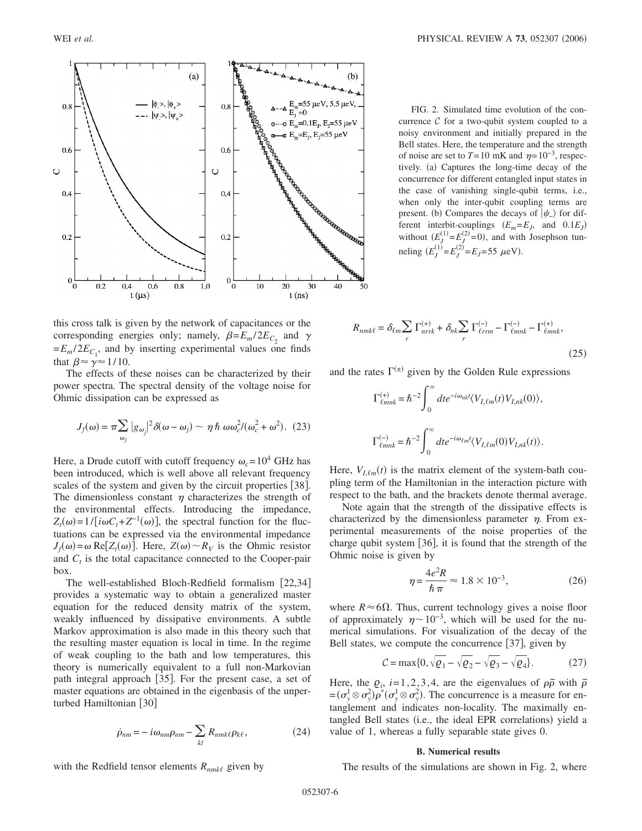

this cross talk is given by the network of capacitances or the corresponding energies only; namely,  $\beta = E_m / 2E_C$  and  $\gamma$  $=E_m / 2E_{C_1}$ , and by inserting experimental values one finds that  $\beta \approx y \approx 1/10$ .

The effects of these noises can be characterized by their power spectra. The spectral density of the voltage noise for Ohmic dissipation can be expressed as

$$
J_f(\omega) = \pi \sum_{\omega_j} |g_{\omega_j}|^2 \delta(\omega - \omega_j) \sim \eta \hbar \omega \omega_c^2 / (\omega_c^2 + \omega^2). (23)
$$

Here, a Drude cutoff with cutoff frequency  $\omega_c = 10^4$  GHz has been introduced, which is well above all relevant frequency scales of the system and given by the circuit properties [38]. The dimensionless constant  $\eta$  characterizes the strength of the environmental effects. Introducing the impedance,  $Z_t(\omega) = 1/[\dot{i}\omega C_t + Z^{-1}(\omega)]$ , the spectral function for the fluctuations can be expressed via the environmental impedance  $J_f(\omega) = \omega \text{ Re}[Z_t(\omega)]$ . Here,  $Z(\omega) \sim R_V$  is the Ohmic resistor and  $C_t$  is the total capacitance connected to the Cooper-pair box.

The well-established Bloch-Redfield formalism [22,34] provides a systematic way to obtain a generalized master equation for the reduced density matrix of the system, weakly influenced by dissipative environments. A subtle Markov approximation is also made in this theory such that the resulting master equation is local in time. In the regime of weak coupling to the bath and low temperatures, this theory is numerically equivalent to a full non-Markovian path integral approach  $[35]$ . For the present case, a set of master equations are obtained in the eigenbasis of the unperturbed Hamiltonian [30]

$$
\dot{\rho}_{nm} = -i\omega_{nm}\rho_{nm} - \sum_{kl} R_{nmk\ell}\rho_{k\ell},\qquad(24)
$$

WEI *et al.* **PHYSICAL REVIEW A 73,** 052307 (2006)

FIG. 2. Simulated time evolution of the concurrence  $C$  for a two-qubit system coupled to a noisy environment and initially prepared in the Bell states. Here, the temperature and the strength of noise are set to  $T=10$  mK and  $\eta=10^{-3}$ , respectively. (a) Captures the long-time decay of the concurrence for different entangled input states in the case of vanishing single-qubit terms, i.e., when only the inter-qubit coupling terms are present. (b) Compares the decays of  $|\psi_{-}\rangle$  for different interbit-couplings  $(E_m = E_J$ , and  $0.1E_J$ without  $(E_J^{(1)} = E_J^{(2)} = 0)$ , and with Josephson tunneling  $(E_J^{(1)} = E_J^{(2)} = E_J = 55 \mu eV)$ .

$$
R_{nmk\ell} = \delta_{\ell m} \sum_{r} \Gamma_{nrrk}^{(+)} + \delta_{nk} \sum_{r} \Gamma_{\ell rrm}^{(-)} - \Gamma_{\ell mnk}^{(-)} - \Gamma_{\ell mnk}^{(+)},
$$
\n(25)

and the rates  $\Gamma^{(\pm)}$  given by the Golden Rule expressions

$$
\Gamma_{\ell m n k}^{(+)} = \hbar^{-2} \int_0^{\infty} dt e^{-i\omega_{nk} t} \langle V_{I,\ell m}(t) V_{I,nk}(0) \rangle,
$$
  

$$
\Gamma_{\ell m n k}^{(-)} = \hbar^{-2} \int_0^{\infty} dt e^{-i\omega_{\ell m} t} \langle V_{I,\ell m}(0) V_{I,nk}(t) \rangle.
$$

Here,  $V_{I, \ell m}(t)$  is the matrix element of the system-bath coupling term of the Hamiltonian in the interaction picture with respect to the bath, and the brackets denote thermal average.

Note again that the strength of the dissipative effects is characterized by the dimensionless parameter  $\eta$ . From experimental measurements of the noise properties of the charge qubit system [36], it is found that the strength of the Ohmic noise is given by

$$
\eta = \frac{4e^2R}{\hbar \pi} \approx 1.8 \times 10^{-3},\tag{26}
$$

where  $R \approx 6\Omega$ . Thus, current technology gives a noise floor of approximately  $\eta \sim 10^{-3}$ , which will be used for the numerical simulations. For visualization of the decay of the Bell states, we compute the concurrence  $[37]$ , given by

$$
C = \max\{0, \sqrt{\varrho_1} - \sqrt{\varrho_2} - \sqrt{\varrho_3} - \sqrt{\varrho_4}\}.
$$
 (27)

Here, the  $\varrho_i$ , *i*=1, 2, 3, 4, are the eigenvalues of  $\rho \tilde{\rho}$  with  $\tilde{\rho}$  $=(\sigma_y^1 \otimes \sigma_y^2)\overline{\rho}^*(\sigma_y^1 \otimes \sigma_y^2)$ . The concurrence is a measure for entanglement and indicates non-locality. The maximally entangled Bell states (i.e., the ideal EPR correlations) yield a value of 1, whereas a fully separable state gives 0.

# **B. Numerical results**

The results of the simulations are shown in Fig. 2, where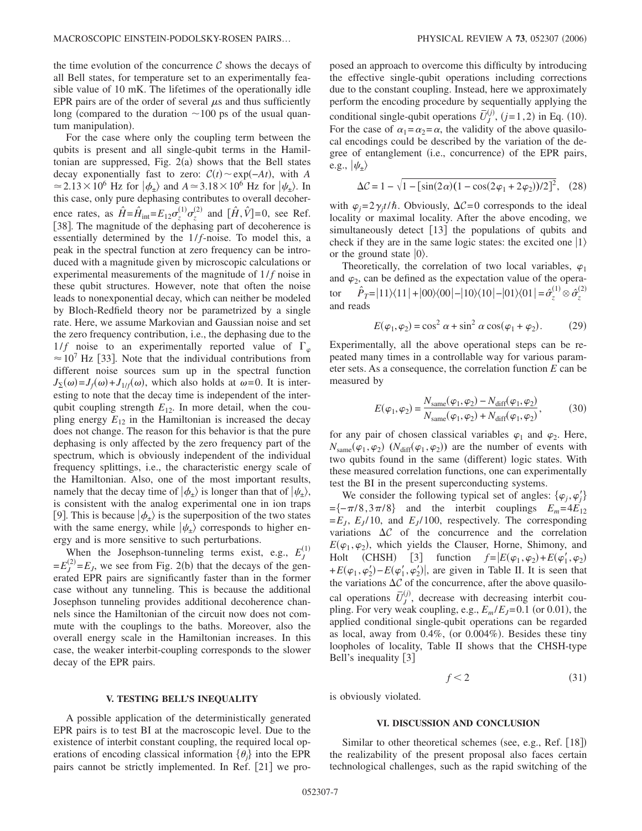the time evolution of the concurrence  $\mathcal C$  shows the decays of all Bell states, for temperature set to an experimentally feasible value of 10 mK. The lifetimes of the operationally idle EPR pairs are of the order of several  $\mu$ s and thus sufficiently long (compared to the duration  $\sim$  100 ps of the usual quantum manipulation).

For the case where only the coupling term between the qubits is present and all single-qubit terms in the Hamiltonian are suppressed, Fig.  $2(a)$  shows that the Bell states decay exponentially fast to zero:  $C(t) \sim \exp(-At)$ , with *A*  $\approx$  2.13 × 10<sup>6</sup> Hz for  $|\phi_{\pm}\rangle$  and  $A \approx$  3.18 × 10<sup>6</sup> Hz for  $|\psi_{\pm}\rangle$ . In this case, only pure dephasing contributes to overall decoherence rates, as  $\hat{H} = \hat{H}_{int} = E_{12} \sigma_z^{(1)} \sigma_z^{(2)}$  and  $[\hat{H}, \hat{V}] = 0$ , see Ref. [38]. The magnitude of the dephasing part of decoherence is essentially determined by the  $1/f$ -noise. To model this, a peak in the spectral function at zero frequency can be introduced with a magnitude given by microscopic calculations or experimental measurements of the magnitude of  $1/f$  noise in these qubit structures. However, note that often the noise leads to nonexponential decay, which can neither be modeled by Bloch-Redfield theory nor be parametrized by a single rate. Here, we assume Markovian and Gaussian noise and set the zero frequency contribution, i.e., the dephasing due to the 1/f noise to an experimentally reported value of  $\Gamma_{\varphi}$  $\approx 10^7$  Hz [33]. Note that the individual contributions from different noise sources sum up in the spectral function  $J_{\Sigma}(\omega) = J_f(\omega) + J_{1/f}(\omega)$ , which also holds at  $\omega = 0$ . It is interesting to note that the decay time is independent of the interqubit coupling strength  $E_{12}$ . In more detail, when the coupling energy  $E_{12}$  in the Hamiltonian is increased the decay does not change. The reason for this behavior is that the pure dephasing is only affected by the zero frequency part of the spectrum, which is obviously independent of the individual frequency splittings, i.e., the characteristic energy scale of the Hamiltonian. Also, one of the most important results, namely that the decay time of  $|\phi_{\pm}\rangle$  is longer than that of  $|\psi_{\pm}\rangle$ , is consistent with the analog experimental one in ion traps [9]. This is because  $|\phi_{+}\rangle$  is the superposition of the two states with the same energy, while  $|\psi_{\pm}\rangle$  corresponds to higher energy and is more sensitive to such perturbations.

When the Josephson-tunneling terms exist, e.g.,  $E_J^{(1)}$  $=E_J^{(2)}=E_J$ , we see from Fig. 2(b) that the decays of the generated EPR pairs are significantly faster than in the former case without any tunneling. This is because the additional Josephson tunneling provides additional decoherence channels since the Hamiltonian of the circuit now does not commute with the couplings to the baths. Moreover, also the overall energy scale in the Hamiltonian increases. In this case, the weaker interbit-coupling corresponds to the slower decay of the EPR pairs.

posed an approach to overcome this difficulty by introducing the effective single-qubit operations including corrections due to the constant coupling. Instead, here we approximately perform the encoding procedure by sequentially applying the conditional single-qubit operations  $\bar{U}_j^{\prime}$  $j^{(j)}$ ,  $(j=1,2)$  in Eq. (10). For the case of  $\alpha_1 = \alpha_2 = \alpha$ , the validity of the above quasilocal encodings could be described by the variation of the degree of entanglement (i.e., concurrence) of the EPR pairs, e.g.,  $\ket{\psi_\pm}$ 

$$
\Delta \mathcal{C} = 1 - \sqrt{1 - [\sin(2\alpha)(1 - \cos(2\varphi_1 + 2\varphi_2))/2]^2},
$$
 (28)

with  $\varphi_j = 2\gamma_j t/\hbar$ . Obviously,  $\Delta C = 0$  corresponds to the ideal locality or maximal locality. After the above encoding, we simultaneously detect  $[13]$  the populations of qubits and check if they are in the same logic states: the excited one  $|1\rangle$ or the ground state  $|0\rangle$ .

Theoretically, the correlation of two local variables,  $\varphi_1$ and  $\varphi_2$ , can be defined as the expectation value of the operator *P*  $\hat{P}_T = |11\rangle\langle11| + |00\rangle\langle00| - |10\rangle\langle10| - |01\rangle\langle01| = \hat{\sigma}_z^{(1)} \otimes \hat{\sigma}_z^{(2)}$ and reads

$$
E(\varphi_1, \varphi_2) = \cos^2 \alpha + \sin^2 \alpha \cos(\varphi_1 + \varphi_2). \tag{29}
$$

Experimentally, all the above operational steps can be repeated many times in a controllable way for various parameter sets. As a consequence, the correlation function *E* can be measured by

$$
E(\varphi_1, \varphi_2) = \frac{N_{\text{same}}(\varphi_1, \varphi_2) - N_{\text{diff}}(\varphi_1, \varphi_2)}{N_{\text{same}}(\varphi_1, \varphi_2) + N_{\text{diff}}(\varphi_1, \varphi_2)},
$$
(30)

for any pair of chosen classical variables  $\varphi_1$  and  $\varphi_2$ . Here,  $N_{\text{same}}(\varphi_1, \varphi_2)$  ( $N_{\text{diff}}(\varphi_1, \varphi_2)$ ) are the number of events with two qubits found in the same (different) logic states. With these measured correlation functions, one can experimentally test the BI in the present superconducting systems.

We consider the following typical set of angles:  $\{\varphi_j, \varphi'_j\}$  $=\{-\pi/8,3\pi/8\}$  and the interbit couplings  $E_m=4E_{12}$  $=E_J$ ,  $E_J$ /10, and  $E_J$ /100, respectively. The corresponding variations  $\Delta C$  of the concurrence and the correlation  $E(\varphi_1, \varphi_2)$ , which yields the Clauser, Horne, Shimony, and Holt (CHSH) [3] function  $f=|E(\varphi_1, \varphi_2)+E(\varphi'_1, \varphi_2)|$  $+ E(\varphi_1, \varphi_2') - E(\varphi_1', \varphi_2')$ , are given in Table II. It is seen that the variations  $\Delta C$  of the concurrence, after the above quasilocal operations  $\overline{U}_J^{\text{C}}$  $j^{(j)}$ , decrease with decreasing interbit coupling. For very weak coupling, e.g.,  $E_m/E_J = 0.1$  (or 0.01), the applied conditional single-qubit operations can be regarded as local, away from  $0.4\%$ , (or  $0.004\%$ ). Besides these tiny loopholes of locality, Table II shows that the CHSH-type Bell's inequality [3]

$$
f < 2 \tag{31}
$$

### **V. TESTING BELL'S INEQUALITY**

A possible application of the deterministically generated EPR pairs is to test BI at the macroscopic level. Due to the existence of interbit constant coupling, the required local operations of encoding classical information  $\{\theta_i\}$  into the EPR pairs cannot be strictly implemented. In Ref. [21] we prois obviously violated.

### **VI. DISCUSSION AND CONCLUSION**

Similar to other theoretical schemes (see, e.g., Ref. [18]) the realizability of the present proposal also faces certain technological challenges, such as the rapid switching of the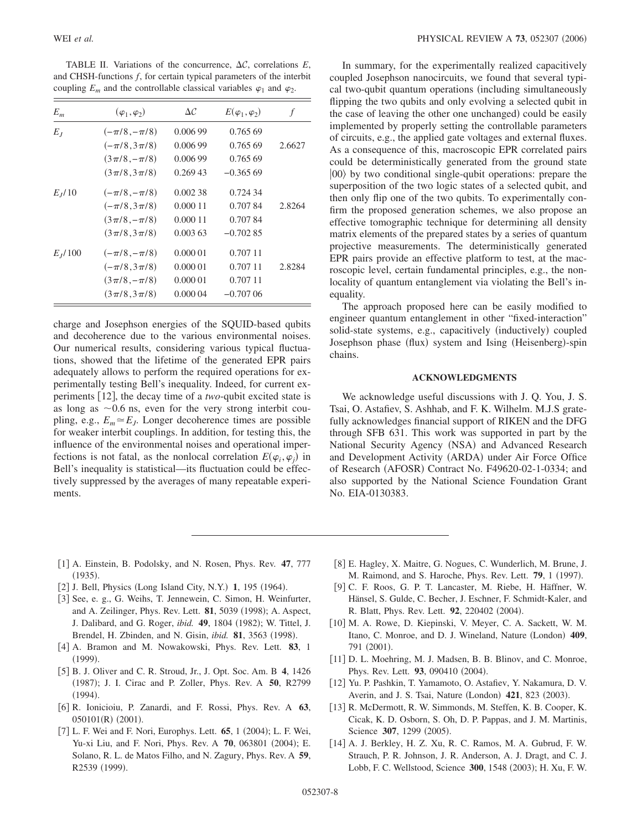TABLE II. Variations of the concurrence,  $\Delta C$ , correlations  $E$ , and CHSH-functions *f*, for certain typical parameters of the interbit coupling  $E_m$  and the controllable classical variables  $\varphi_1$  and  $\varphi_2$ .

| $E_m$       | $(\varphi_1, \varphi_2)$ | $\Delta \mathcal{C}$ | $E(\varphi_1, \varphi_2)$ | f      |
|-------------|--------------------------|----------------------|---------------------------|--------|
| $E_I$       | $(-\pi/8,-\pi/8)$        | 0.006 99             | 0.765.69                  |        |
|             | $(-\pi/8,3\pi/8)$        | 0.006 99             | 0.765.69                  | 2.6627 |
|             | $(3\pi/8, -\pi/8)$       | 0.006 99             | 0.765.69                  |        |
|             | $(3\pi/8,3\pi/8)$        | 0.26943              | $-0.36569$                |        |
| $E_{I}/10$  | $(-\pi/8,-\pi/8)$        | 0.00238              | 0.724 34                  |        |
|             | $(-\pi/8,3\pi/8)$        | 0.000 11             | 0.70784                   | 2.8264 |
|             | $(3\pi/8, -\pi/8)$       | 0.000 11             | 0.70784                   |        |
|             | $(3\pi/8,3\pi/8)$        | 0.00363              | $-0.70285$                |        |
| $E_{I}/100$ | $(-\pi/8,-\pi/8)$        | 0.00001              | 0.707 11                  |        |
|             | $(-\pi/8,3\pi/8)$        | 0.000 01             | 0.707 11                  | 2.8284 |
|             | $(3\pi/8, -\pi/8)$       | 0.00001              | 0.707 11                  |        |
|             | $(3\pi/8,3\pi/8)$        | 0.00004              | $-0.70706$                |        |

charge and Josephson energies of the SQUID-based qubits and decoherence due to the various environmental noises. Our numerical results, considering various typical fluctuations, showed that the lifetime of the generated EPR pairs adequately allows to perform the required operations for experimentally testing Bell's inequality. Indeed, for current experiments [12], the decay time of a *two*-qubit excited state is as long as  $\sim$  0.6 ns, even for the very strong interbit coupling, e.g.,  $E_m \approx E_J$ . Longer decoherence times are possible for weaker interbit couplings. In addition, for testing this, the influence of the environmental noises and operational imperfections is not fatal, as the nonlocal correlation  $E(\varphi_i, \varphi_j)$  in Bell's inequality is statistical—its fluctuation could be effectively suppressed by the averages of many repeatable experiments.

In summary, for the experimentally realized capacitively coupled Josephson nanocircuits, we found that several typical two-qubit quantum operations (including simultaneously flipping the two qubits and only evolving a selected qubit in the case of leaving the other one unchanged) could be easily implemented by properly setting the controllable parameters of circuits, e.g., the applied gate voltages and external fluxes. As a consequence of this, macroscopic EPR correlated pairs could be deterministically generated from the ground state  $|00\rangle$  by two conditional single-qubit operations: prepare the superposition of the two logic states of a selected qubit, and then only flip one of the two qubits. To experimentally confirm the proposed generation schemes, we also propose an effective tomographic technique for determining all density matrix elements of the prepared states by a series of quantum projective measurements. The deterministically generated EPR pairs provide an effective platform to test, at the macroscopic level, certain fundamental principles, e.g., the nonlocality of quantum entanglement via violating the Bell's inequality.

The approach proposed here can be easily modified to engineer quantum entanglement in other "fixed-interaction" solid-state systems, e.g., capacitively (inductively) coupled Josephson phase (flux) system and Ising (Heisenberg)-spin chains.

### **ACKNOWLEDGMENTS**

We acknowledge useful discussions with J. Q. You, J. S. Tsai, O. Astafiev, S. Ashhab, and F. K. Wilhelm. M.J.S gratefully acknowledges financial support of RIKEN and the DFG through SFB 631. This work was supported in part by the National Security Agency (NSA) and Advanced Research and Development Activity (ARDA) under Air Force Office of Research (AFOSR) Contract No. F49620-02-1-0334; and also supported by the National Science Foundation Grant No. EIA-0130383.

- 1 A. Einstein, B. Podolsky, and N. Rosen, Phys. Rev. **47**, 777  $(1935).$
- [2] J. Bell, Physics (Long Island City, N.Y.) 1, 195 (1964).
- [3] See, e. g., G. Weihs, T. Jennewein, C. Simon, H. Weinfurter, and A. Zeilinger, Phys. Rev. Lett. **81**, 5039 (1998); A. Aspect, J. Dalibard, and G. Roger, *ibid.* **49**, 1804 (1982); W. Tittel, J. Brendel, H. Zbinden, and N. Gisin, *ibid.* 81, 3563 (1998).
- 4 A. Bramon and M. Nowakowski, Phys. Rev. Lett. **83**, 1  $(1999).$
- 5 B. J. Oliver and C. R. Stroud, Jr., J. Opt. Soc. Am. B **4**, 1426 (1987); J. I. Cirac and P. Zoller, Phys. Rev. A 50, R2799  $(1994).$
- 6 R. Ionicioiu, P. Zanardi, and F. Rossi, Phys. Rev. A **63**,  $050101(R)$  (2001).
- [7] L. F. Wei and F. Nori, Europhys. Lett. 65, 1 (2004); L. F. Wei, Yu-xi Liu, and F. Nori, Phys. Rev. A 70, 063801 (2004); E. Solano, R. L. de Matos Filho, and N. Zagury, Phys. Rev. A **59**, R2539 (1999).
- [8] E. Hagley, X. Maitre, G. Nogues, C. Wunderlich, M. Brune, J. M. Raimond, and S. Haroche, Phys. Rev. Lett. **79**, 1 (1997).
- 9 C. F. Roos, G. P. T. Lancaster, M. Riebe, H. Häffner, W. Hänsel, S. Gulde, C. Becher, J. Eschner, F. Schmidt-Kaler, and R. Blatt, Phys. Rev. Lett. 92, 220402 (2004).
- [10] M. A. Rowe, D. Kiepinski, V. Meyer, C. A. Sackett, W. M. Itano, C. Monroe, and D. J. Wineland, Nature (London) 409, 791 (2001).
- [11] D. L. Moehring, M. J. Madsen, B. B. Blinov, and C. Monroe, Phys. Rev. Lett. 93, 090410 (2004).
- 12 Yu. P. Pashkin, T. Yamamoto, O. Astafiev, Y. Nakamura, D. V. Averin, and J. S. Tsai, Nature (London) 421, 823 (2003).
- [13] R. McDermott, R. W. Simmonds, M. Steffen, K. B. Cooper, K. Cicak, K. D. Osborn, S. Oh, D. P. Pappas, and J. M. Martinis, Science 307, 1299 (2005).
- [14] A. J. Berkley, H. Z. Xu, R. C. Ramos, M. A. Gubrud, F. W. Strauch, P. R. Johnson, J. R. Anderson, A. J. Dragt, and C. J. Lobb, F. C. Wellstood, Science 300, 1548 (2003); H. Xu, F. W.